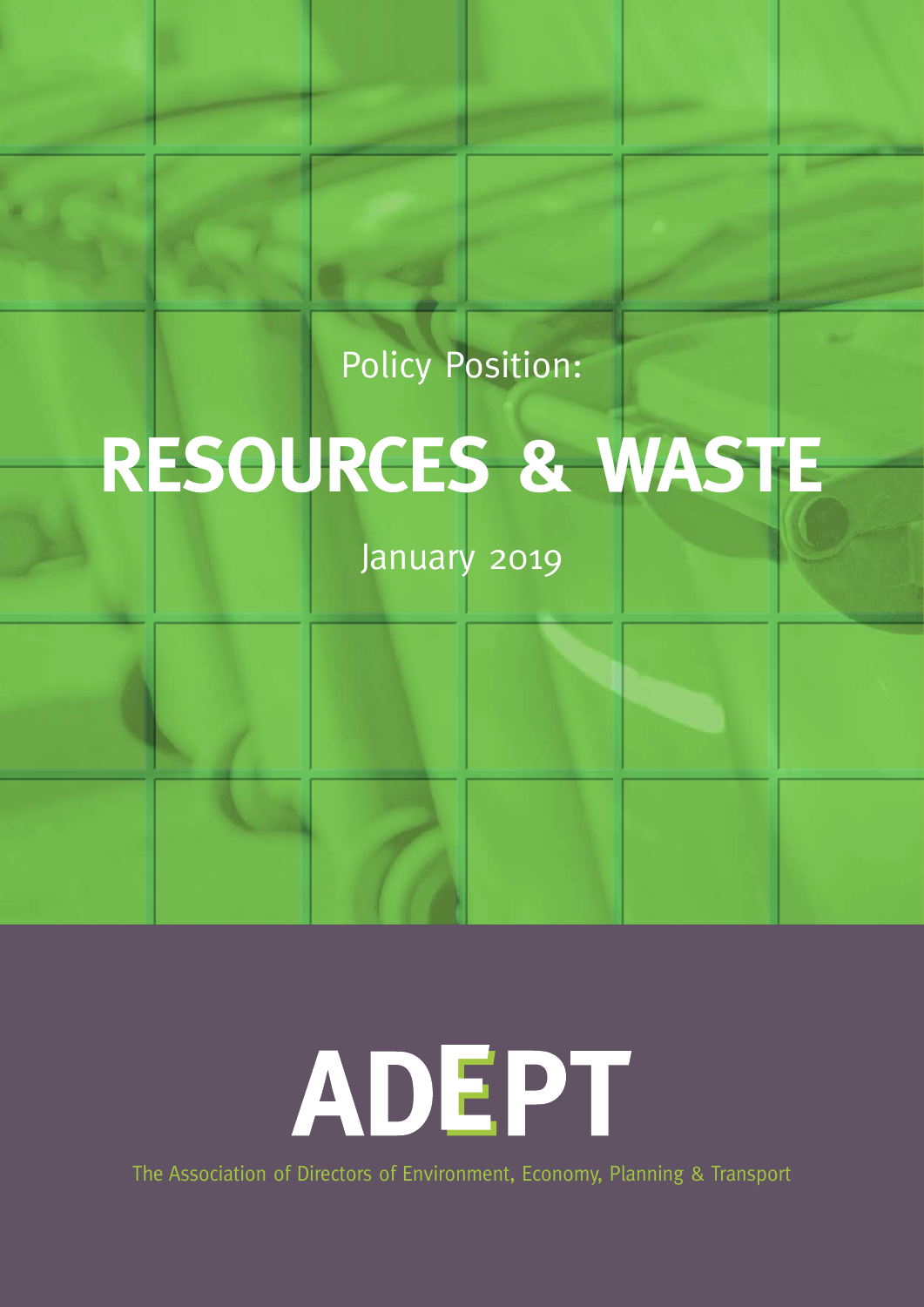Policy Position:

## **RESOURCES & WASTE**

January 2019

ADEPT

The Association of Directors of Environment, Economy, Planning & Transport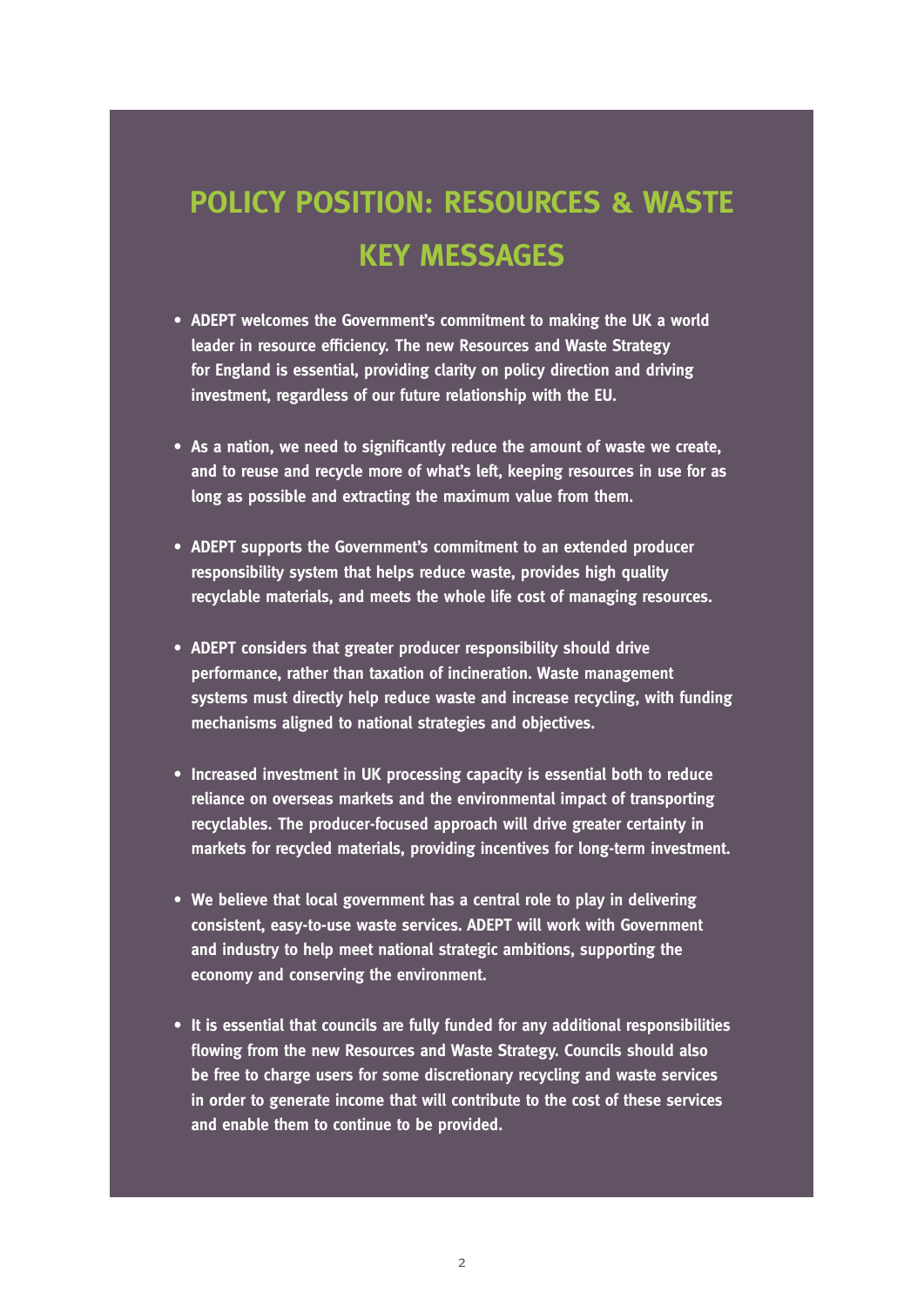### **POLICY POSITION: RESOURCES & WASTE KEY MESSAGES**

- **• ADEPT welcomes the Government's commitment to making the UK a world leader in resource efficiency. The new Resources and Waste Strategy for England is essential, providing clarity on policy direction and driving investment, regardless of our future relationship with the EU.**
- **• As a nation, we need to significantly reduce the amount of waste we create, and to reuse and recycle more of what's left, keeping resources in use for as long as possible and extracting the maximum value from them.**
- **• ADEPT supports the Government's commitment to an extended producer responsibility system that helps reduce waste, provides high quality recyclable materials, and meets the whole life cost of managing resources.**
- **• ADEPT considers that greater producer responsibility should drive performance, rather than taxation of incineration. Waste management systems must directly help reduce waste and increase recycling, with funding mechanisms aligned to national strategies and objectives.**
- **• Increased investment in UK processing capacity is essential both to reduce reliance on overseas markets and the environmental impact of transporting recyclables. The producer-focused approach will drive greater certainty in markets for recycled materials, providing incentives for long-term investment.**
- **• We believe that local government has a central role to play in delivering consistent, easy-to-use waste services. ADEPT will work with Government and industry to help meet national strategic ambitions, supporting the economy and conserving the environment.**
- **• It is essential that councils are fully funded for any additional responsibilities flowing from the new Resources and Waste Strategy. Councils should also be free to charge users for some discretionary recycling and waste services in order to generate income that will contribute to the cost of these services and enable them to continue to be provided.**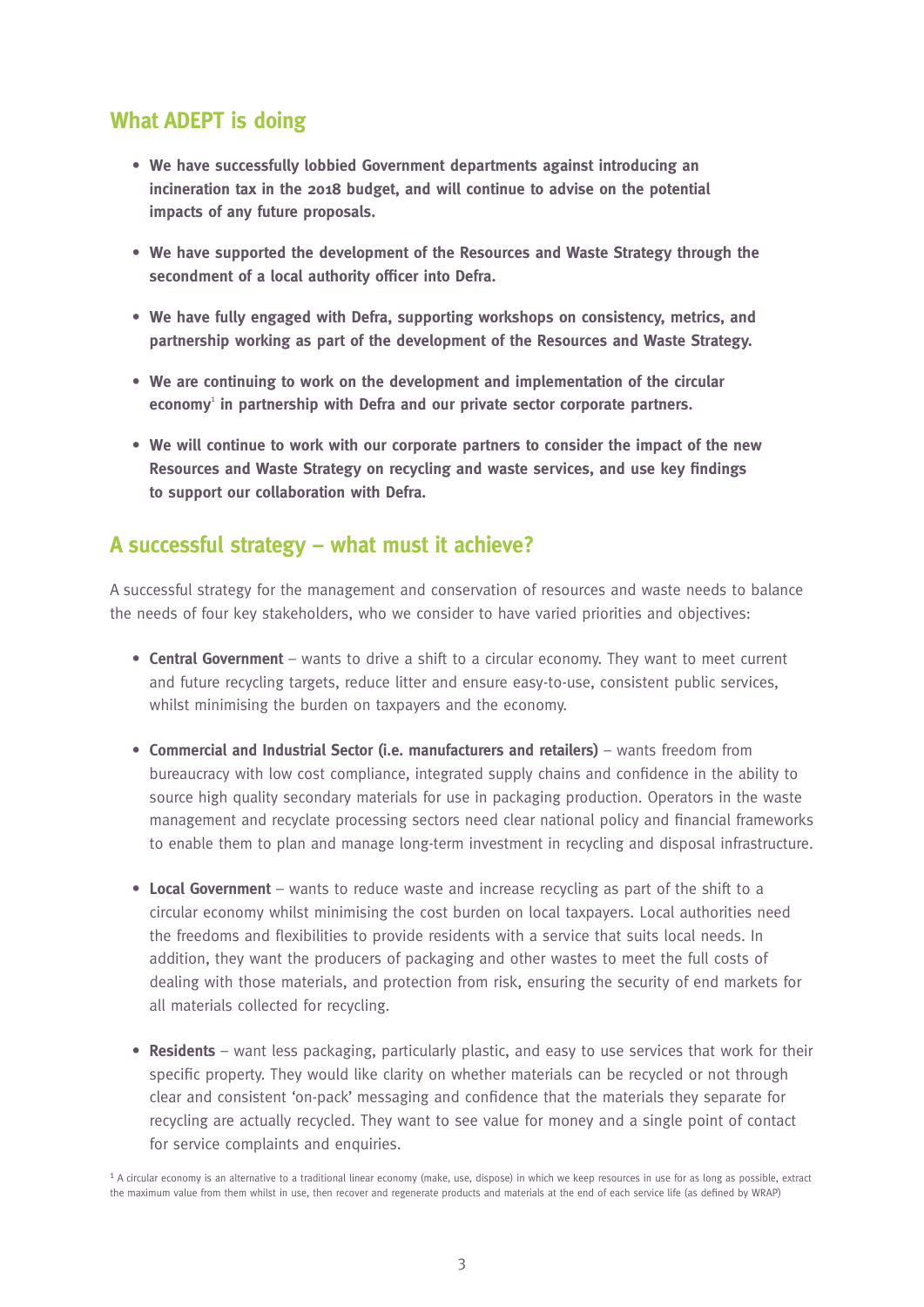#### **What ADEPT is doing**

- **• We have successfully lobbied Government departments against introducing an incineration tax in the 2018 budget, and will continue to advise on the potential impacts of any future proposals.**
- **• We have supported the development of the Resources and Waste Strategy through the secondment of a local authority officer into Defra.**
- **• We have fully engaged with Defra, supporting workshops on consistency, metrics, and partnership working as part of the development of the Resources and Waste Strategy.**
- **• We are continuing to work on the development and implementation of the circular economy**<sup>1</sup>  **in partnership with Defra and our private sector corporate partners.**
- **• We will continue to work with our corporate partners to consider the impact of the new Resources and Waste Strategy on recycling and waste services, and use key findings to support our collaboration with Defra.**

#### **A successful strategy – what must it achieve?**

A successful strategy for the management and conservation of resources and waste needs to balance the needs of four key stakeholders, who we consider to have varied priorities and objectives:

- **• Central Government** wants to drive a shift to a circular economy. They want to meet current and future recycling targets, reduce litter and ensure easy-to-use, consistent public services, whilst minimising the burden on taxpayers and the economy.
- **• Commercial and Industrial Sector (i.e. manufacturers and retailers)** wants freedom from bureaucracy with low cost compliance, integrated supply chains and confidence in the ability to source high quality secondary materials for use in packaging production. Operators in the waste management and recyclate processing sectors need clear national policy and financial frameworks to enable them to plan and manage long-term investment in recycling and disposal infrastructure.
- **• Local Government** wants to reduce waste and increase recycling as part of the shift to a circular economy whilst minimising the cost burden on local taxpayers. Local authorities need the freedoms and flexibilities to provide residents with a service that suits local needs. In addition, they want the producers of packaging and other wastes to meet the full costs of dealing with those materials, and protection from risk, ensuring the security of end markets for all materials collected for recycling.
- **• Residents** want less packaging, particularly plastic, and easy to use services that work for their specific property. They would like clarity on whether materials can be recycled or not through clear and consistent 'on-pack' messaging and confidence that the materials they separate for recycling are actually recycled. They want to see value for money and a single point of contact for service complaints and enquiries.

1 A circular economy is an alternative to a traditional linear economy (make, use, dispose) in which we keep resources in use for as long as possible, extract the maximum value from them whilst in use, then recover and regenerate products and materials at the end of each service life (as defined by WRAP)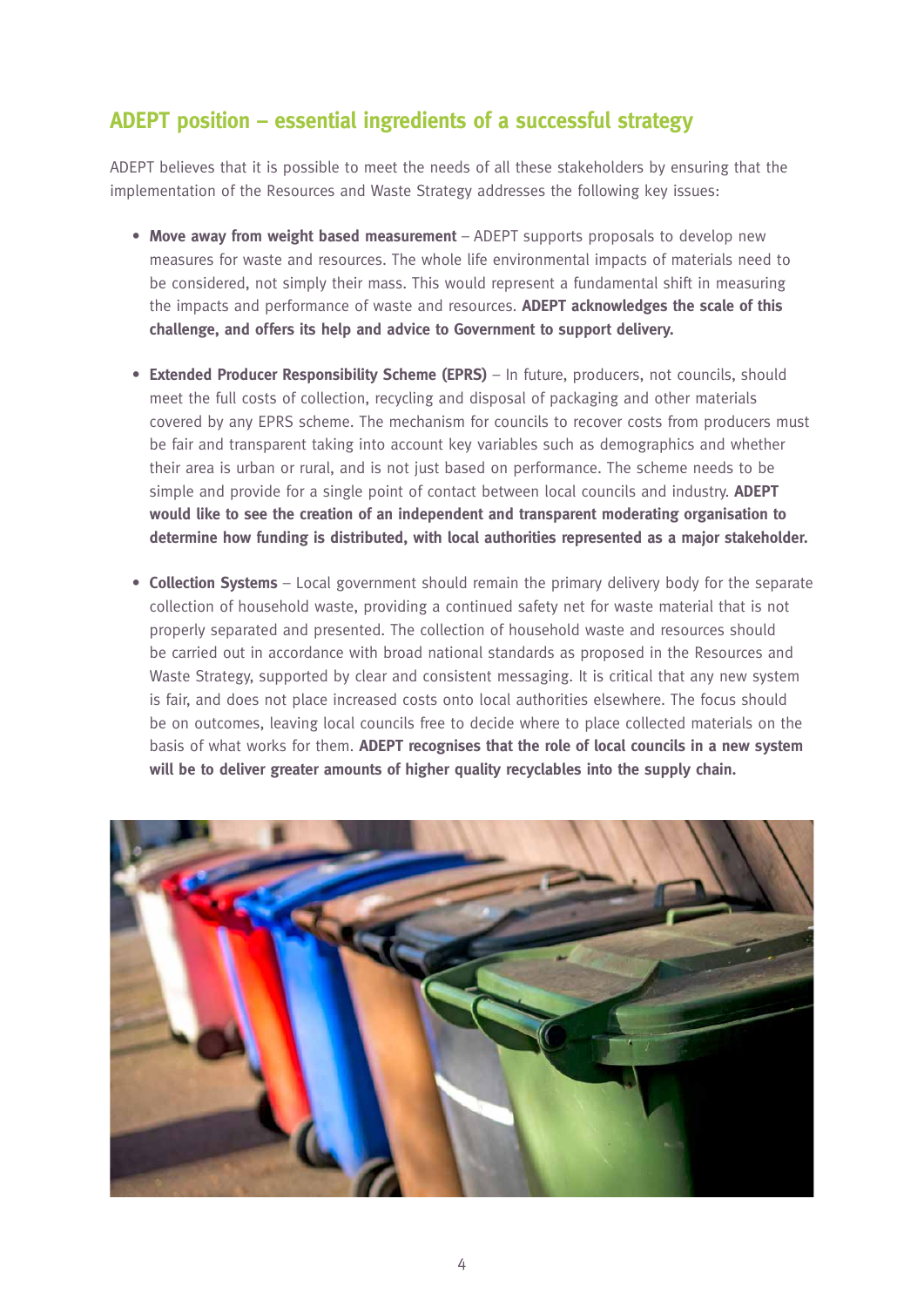#### **ADEPT position – essential ingredients of a successful strategy**

ADEPT believes that it is possible to meet the needs of all these stakeholders by ensuring that the implementation of the Resources and Waste Strategy addresses the following key issues:

- **• Move away from weight based measurement** ADEPT supports proposals to develop new measures for waste and resources. The whole life environmental impacts of materials need to be considered, not simply their mass. This would represent a fundamental shift in measuring the impacts and performance of waste and resources. **ADEPT acknowledges the scale of this challenge, and offers its help and advice to Government to support delivery.**
- **• Extended Producer Responsibility Scheme (EPRS)** In future, producers, not councils, should meet the full costs of collection, recycling and disposal of packaging and other materials covered by any EPRS scheme. The mechanism for councils to recover costs from producers must be fair and transparent taking into account key variables such as demographics and whether their area is urban or rural, and is not just based on performance. The scheme needs to be simple and provide for a single point of contact between local councils and industry. **ADEPT would like to see the creation of an independent and transparent moderating organisation to determine how funding is distributed, with local authorities represented as a major stakeholder.**
- **Collection Systems** Local government should remain the primary delivery body for the separate collection of household waste, providing a continued safety net for waste material that is not properly separated and presented. The collection of household waste and resources should be carried out in accordance with broad national standards as proposed in the Resources and Waste Strategy, supported by clear and consistent messaging. It is critical that any new system is fair, and does not place increased costs onto local authorities elsewhere. The focus should be on outcomes, leaving local councils free to decide where to place collected materials on the basis of what works for them. **ADEPT recognises that the role of local councils in a new system will be to deliver greater amounts of higher quality recyclables into the supply chain.**

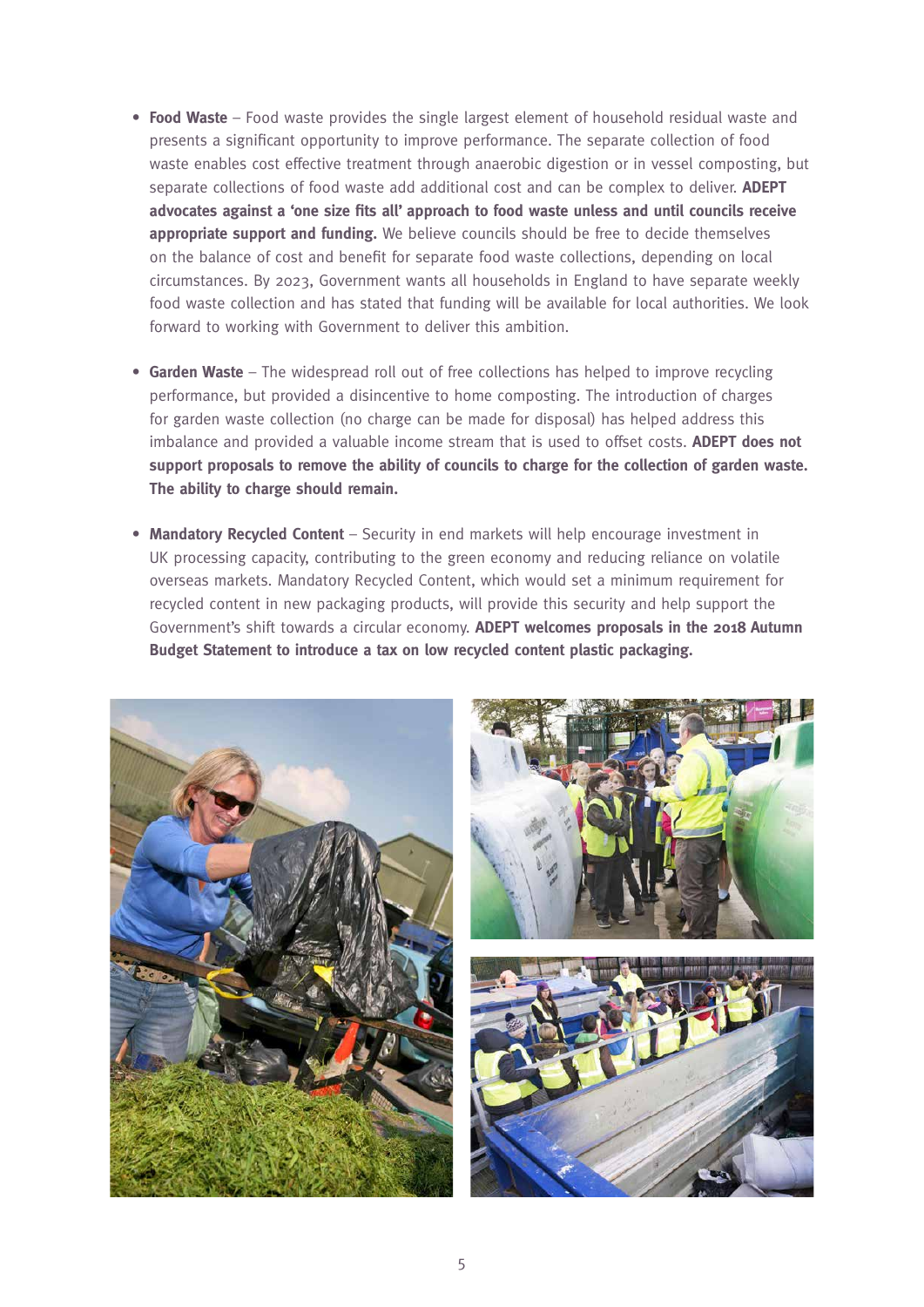- **• Food Waste** Food waste provides the single largest element of household residual waste and presents a significant opportunity to improve performance. The separate collection of food waste enables cost effective treatment through anaerobic digestion or in vessel composting, but separate collections of food waste add additional cost and can be complex to deliver. **ADEPT advocates against a 'one size fits all' approach to food waste unless and until councils receive appropriate support and funding.** We believe councils should be free to decide themselves on the balance of cost and benefit for separate food waste collections, depending on local circumstances. By 2023, Government wants all households in England to have separate weekly food waste collection and has stated that funding will be available for local authorities. We look forward to working with Government to deliver this ambition.
- **• Garden Waste** The widespread roll out of free collections has helped to improve recycling performance, but provided a disincentive to home composting. The introduction of charges for garden waste collection (no charge can be made for disposal) has helped address this imbalance and provided a valuable income stream that is used to offset costs. **ADEPT does not support proposals to remove the ability of councils to charge for the collection of garden waste. The ability to charge should remain.**
- **• Mandatory Recycled Content** Security in end markets will help encourage investment in UK processing capacity, contributing to the green economy and reducing reliance on volatile overseas markets. Mandatory Recycled Content, which would set a minimum requirement for recycled content in new packaging products, will provide this security and help support the Government's shift towards a circular economy. **ADEPT welcomes proposals in the 2018 Autumn Budget Statement to introduce a tax on low recycled content plastic packaging.**



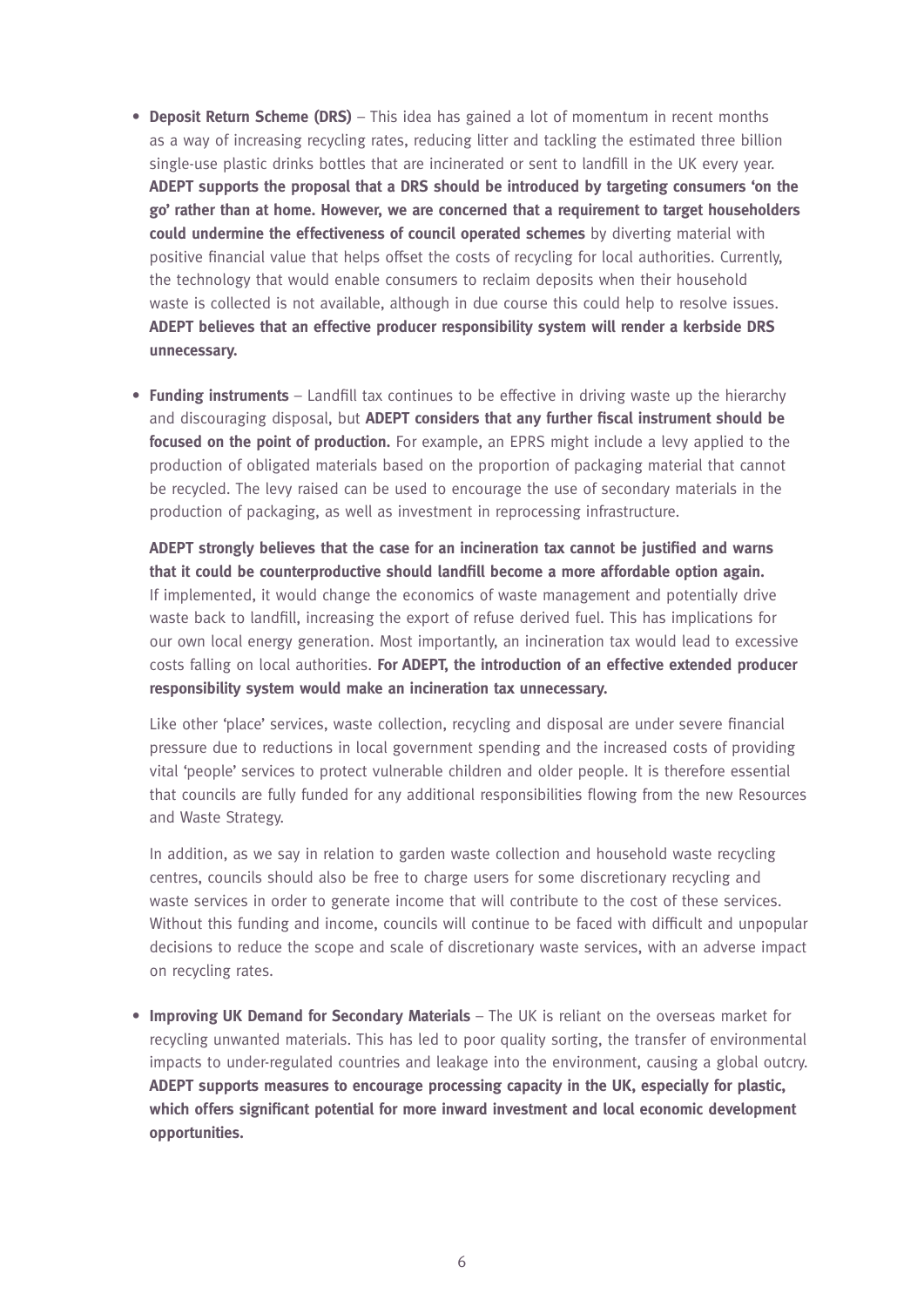- **• Deposit Return Scheme (DRS)** This idea has gained a lot of momentum in recent months as a way of increasing recycling rates, reducing litter and tackling the estimated three billion single-use plastic drinks bottles that are incinerated or sent to landfill in the UK every year. **ADEPT supports the proposal that a DRS should be introduced by targeting consumers 'on the go' rather than at home. However, we are concerned that a requirement to target householders could undermine the effectiveness of council operated schemes** by diverting material with positive financial value that helps offset the costs of recycling for local authorities. Currently, the technology that would enable consumers to reclaim deposits when their household waste is collected is not available, although in due course this could help to resolve issues. **ADEPT believes that an effective producer responsibility system will render a kerbside DRS unnecessary.**
- **• Funding instruments** Landfill tax continues to be effective in driving waste up the hierarchy and discouraging disposal, but **ADEPT considers that any further fiscal instrument should be focused on the point of production.** For example, an EPRS might include a levy applied to the production of obligated materials based on the proportion of packaging material that cannot be recycled. The levy raised can be used to encourage the use of secondary materials in the production of packaging, as well as investment in reprocessing infrastructure.

**ADEPT strongly believes that the case for an incineration tax cannot be justified and warns that it could be counterproductive should landfill become a more affordable option again.** If implemented, it would change the economics of waste management and potentially drive waste back to landfill, increasing the export of refuse derived fuel. This has implications for our own local energy generation. Most importantly, an incineration tax would lead to excessive costs falling on local authorities. **For ADEPT, the introduction of an effective extended producer responsibility system would make an incineration tax unnecessary.**

Like other 'place' services, waste collection, recycling and disposal are under severe financial pressure due to reductions in local government spending and the increased costs of providing vital 'people' services to protect vulnerable children and older people. It is therefore essential that councils are fully funded for any additional responsibilities flowing from the new Resources and Waste Strategy.

In addition, as we say in relation to garden waste collection and household waste recycling centres, councils should also be free to charge users for some discretionary recycling and waste services in order to generate income that will contribute to the cost of these services. Without this funding and income, councils will continue to be faced with difficult and unpopular decisions to reduce the scope and scale of discretionary waste services, with an adverse impact on recycling rates.

**• Improving UK Demand for Secondary Materials** – The UK is reliant on the overseas market for recycling unwanted materials. This has led to poor quality sorting, the transfer of environmental impacts to under-regulated countries and leakage into the environment, causing a global outcry. **ADEPT supports measures to encourage processing capacity in the UK, especially for plastic, which offers significant potential for more inward investment and local economic development opportunities.**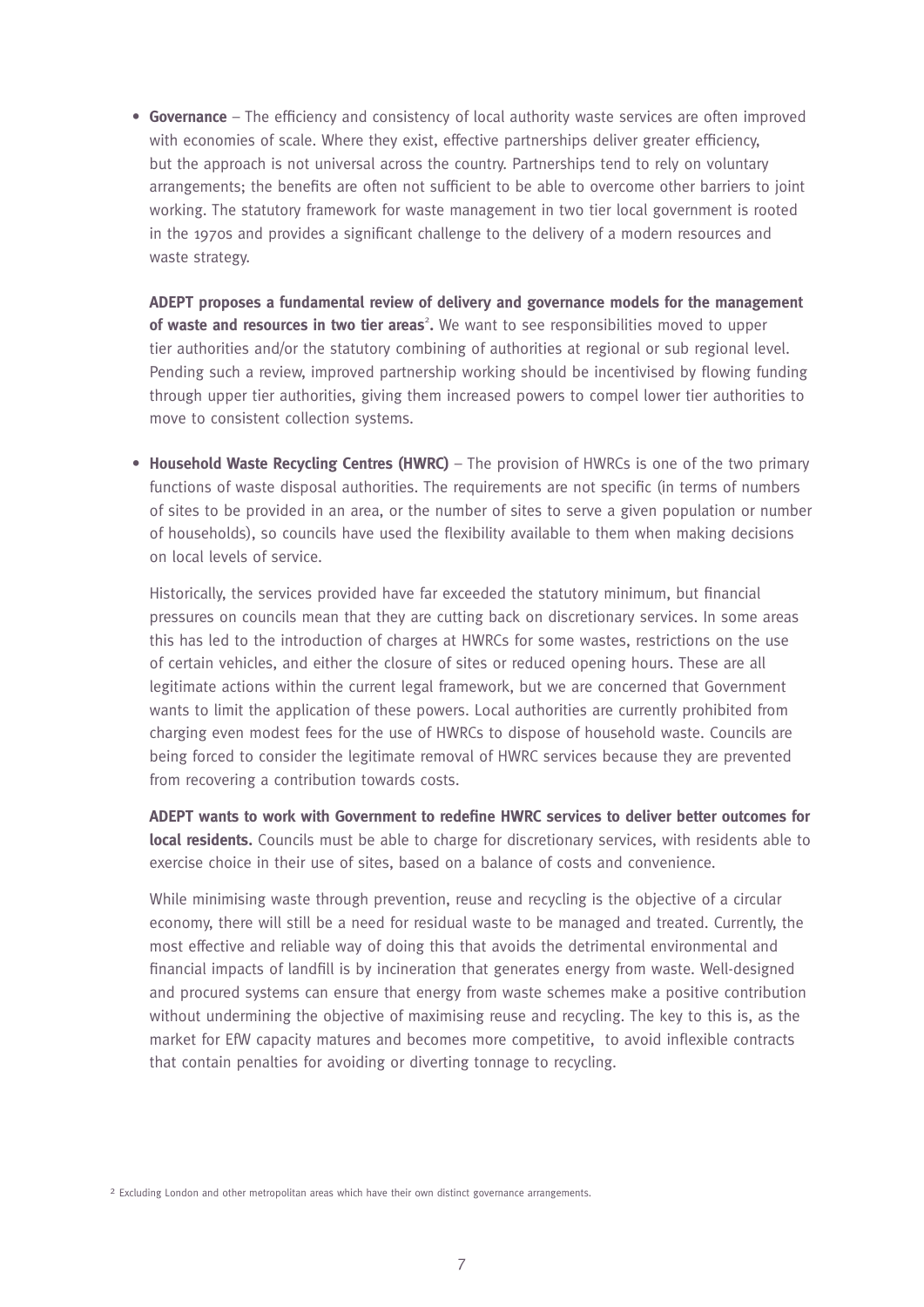**• Governance** – The efficiency and consistency of local authority waste services are often improved with economies of scale. Where they exist, effective partnerships deliver greater efficiency, but the approach is not universal across the country. Partnerships tend to rely on voluntary arrangements; the benefits are often not sufficient to be able to overcome other barriers to joint working. The statutory framework for waste management in two tier local government is rooted in the 1970s and provides a significant challenge to the delivery of a modern resources and waste strategy.

**ADEPT proposes a fundamental review of delivery and governance models for the management**  of waste and resources in two tier areas<sup>2</sup>. We want to see responsibilities moved to upper tier authorities and/or the statutory combining of authorities at regional or sub regional level. Pending such a review, improved partnership working should be incentivised by flowing funding through upper tier authorities, giving them increased powers to compel lower tier authorities to move to consistent collection systems.

**• Household Waste Recycling Centres (HWRC)** – The provision of HWRCs is one of the two primary functions of waste disposal authorities. The requirements are not specific (in terms of numbers of sites to be provided in an area, or the number of sites to serve a given population or number of households), so councils have used the flexibility available to them when making decisions on local levels of service.

Historically, the services provided have far exceeded the statutory minimum, but financial pressures on councils mean that they are cutting back on discretionary services. In some areas this has led to the introduction of charges at HWRCs for some wastes, restrictions on the use of certain vehicles, and either the closure of sites or reduced opening hours. These are all legitimate actions within the current legal framework, but we are concerned that Government wants to limit the application of these powers. Local authorities are currently prohibited from charging even modest fees for the use of HWRCs to dispose of household waste. Councils are being forced to consider the legitimate removal of HWRC services because they are prevented from recovering a contribution towards costs.

**ADEPT wants to work with Government to redefine HWRC services to deliver better outcomes for local residents.** Councils must be able to charge for discretionary services, with residents able to exercise choice in their use of sites, based on a balance of costs and convenience.

While minimising waste through prevention, reuse and recycling is the objective of a circular economy, there will still be a need for residual waste to be managed and treated. Currently, the most effective and reliable way of doing this that avoids the detrimental environmental and financial impacts of landfill is by incineration that generates energy from waste. Well-designed and procured systems can ensure that energy from waste schemes make a positive contribution without undermining the objective of maximising reuse and recycling. The key to this is, as the market for EfW capacity matures and becomes more competitive, to avoid inflexible contracts that contain penalties for avoiding or diverting tonnage to recycling.

<sup>2</sup> Excluding London and other metropolitan areas which have their own distinct governance arrangements.